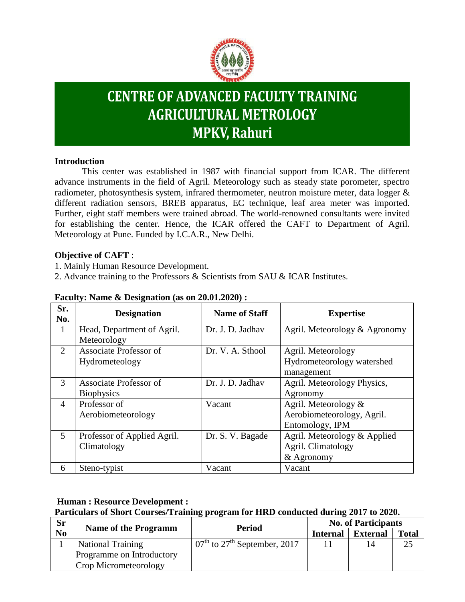

# **CENTRE OF ADVANCED FACULTY TRAINING AGRICULTURAL METROLOGY MPKV, Rahuri**

#### **Introduction**

This center was established in 1987 with financial support from ICAR. The different advance instruments in the field of Agril. Meteorology such as steady state porometer, spectro radiometer, photosynthesis system, infrared thermometer, neutron moisture meter, data logger & different radiation sensors, BREB apparatus, EC technique, leaf area meter was imported. Further, eight staff members were trained abroad. The world-renowned consultants were invited for establishing the center. Hence, the ICAR offered the CAFT to Department of Agril. Meteorology at Pune. Funded by I.C.A.R., New Delhi.

#### **Objective of CAFT** :

1. Mainly Human Resource Development.

2. Advance training to the Professors & Scientists from SAU & ICAR Institutes.

| Sr.<br>No.     | <b>Designation</b>                          | <b>Name of Staff</b> | <b>Expertise</b>                                                      |
|----------------|---------------------------------------------|----------------------|-----------------------------------------------------------------------|
| 1              | Head, Department of Agril.<br>Meteorology   | Dr. J. D. Jadhav     | Agril. Meteorology & Agronomy                                         |
| 2              | Associate Professor of<br>Hydrometeology    | Dr. V. A. Sthool     | Agril. Meteorology<br>Hydrometeorology watershed<br>management        |
| 3              | Associate Professor of<br><b>Biophysics</b> | Dr. J. D. Jadhav     | Agril. Meteorology Physics,<br>Agronomy                               |
| $\overline{4}$ | Professor of<br>Aerobiometeorology          | Vacant               | Agril. Meteorology &<br>Aerobiometeorology, Agril.<br>Entomology, IPM |
| 5              | Professor of Applied Agril.<br>Climatology  | Dr. S. V. Bagade     | Agril. Meteorology & Applied<br>Agril. Climatology<br>& Agronomy      |
| 6              | Steno-typist                                | Vacant               | Vacant                                                                |

#### **Faculty: Name & Designation (as on 20.01.2020) :**

## **Human : Resource Development :**

# **Particulars of Short Courses/Training program for HRD conducted during 2017 to 2020.**

| <b>Sr</b> |                             | Period                                                          | <b>No. of Participants</b> |                 |       |
|-----------|-----------------------------|-----------------------------------------------------------------|----------------------------|-----------------|-------|
| No        | <b>Name of the Programm</b> |                                                                 | <b>Internal</b>            | <b>External</b> | Total |
|           | <b>National Training</b>    | $\overline{07}^{\text{th}}$ to 27 <sup>th</sup> September, 2017 |                            |                 | 25    |
|           | Programme on Introductory   |                                                                 |                            |                 |       |
|           | Crop Micrometeorology       |                                                                 |                            |                 |       |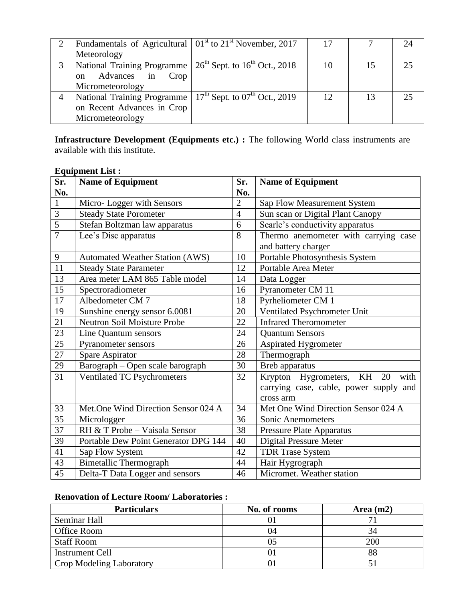| Fundamentals of Agricultural $101st$ to $21st$ November, 2017   |    |    |    |
|-----------------------------------------------------------------|----|----|----|
| Meteorology                                                     |    |    |    |
| National Training Programme   $26th$ Sept. to $16th$ Oct., 2018 | 10 | 15 | 25 |
| Advances in<br>Crop<br>$\alpha$                                 |    |    |    |
| Micrometeorology                                                |    |    |    |
| National Training Programme   $17th$ Sept. to $07th$ Oct., 2019 | 12 | 13 | 25 |
| on Recent Advances in Crop                                      |    |    |    |
| Micrometeorology                                                |    |    |    |

**Infrastructure Development (Equipments etc.) :** The following World class instruments are available with this institute.

#### **Equipment List :**

| Sr.            | <b>Name of Equipment</b>               | Sr.            | <b>Name of Equipment</b>               |  |
|----------------|----------------------------------------|----------------|----------------------------------------|--|
| No.            |                                        | No.            |                                        |  |
| $\mathbf{1}$   | Micro-Logger with Sensors              | $\overline{2}$ | Sap Flow Measurement System            |  |
| 3              | <b>Steady State Porometer</b>          | $\overline{4}$ | Sun scan or Digital Plant Canopy       |  |
| $\overline{5}$ | Stefan Boltzman law apparatus          | 6              | Searle's conductivity apparatus        |  |
| $\overline{7}$ | Lee's Disc apparatus                   | 8              | Thermo anemometer with carrying case   |  |
|                |                                        |                | and battery charger                    |  |
| 9              | <b>Automated Weather Station (AWS)</b> | 10             | Portable Photosynthesis System         |  |
| 11             | <b>Steady State Parameter</b>          | 12             | Portable Area Meter                    |  |
| 13             | Area meter LAM 865 Table model         | 14             | Data Logger                            |  |
| 15             | Spectroradiometer                      | 16             | Pyranometer CM 11                      |  |
| 17             | Albedometer CM 7                       | 18             | Pyrheliometer CM 1                     |  |
| 19             | Sunshine energy sensor 6.0081          | 20             | Ventilated Psychrometer Unit           |  |
| 21             | Neutron Soil Moisture Probe            | 22             | <b>Infrared Theromometer</b>           |  |
| 23             | Line Quantum sensors                   | 24             | <b>Quantum Sensors</b>                 |  |
| 25             | Pyranometer sensors                    | 26             | <b>Aspirated Hygrometer</b>            |  |
| $27\,$         | Spare Aspirator                        | 28             | Thermograph                            |  |
| 29             | Barograph - Open scale barograph       | 30             | Breb apparatus                         |  |
| 31             | Ventilated TC Psychrometers            | 32             | Krypton Hygrometers, KH<br>20<br>with  |  |
|                |                                        |                | carrying case, cable, power supply and |  |
|                |                                        |                | cross arm                              |  |
| 33             | Met.One Wind Direction Sensor 024 A    | 34             | Met One Wind Direction Sensor 024 A    |  |
| 35             | Micrologger                            | 36             | Sonic Anemometers                      |  |
| 37             | RH & T Probe - Vaisala Sensor          | 38             | Pressure Plate Apparatus               |  |
| 39             | Portable Dew Point Generator DPG 144   | 40             | <b>Digital Pressure Meter</b>          |  |
| 41             | Sap Flow System                        | 42             | <b>TDR Trase System</b>                |  |
| 43             | <b>Bimetallic Thermograph</b>          | 44             | Hair Hygrograph                        |  |
| 45             | Delta-T Data Logger and sensors        | 46             | Micromet. Weather station              |  |

#### **Renovation of Lecture Room/ Laboratories :**

| <b>Particulars</b>       | No. of rooms | Area $(m2)$ |
|--------------------------|--------------|-------------|
| Seminar Hall             |              |             |
| Office Room              | 04           | 34          |
| <b>Staff Room</b>        |              | 200         |
| <b>Instrument Cell</b>   |              |             |
| Crop Modeling Laboratory |              |             |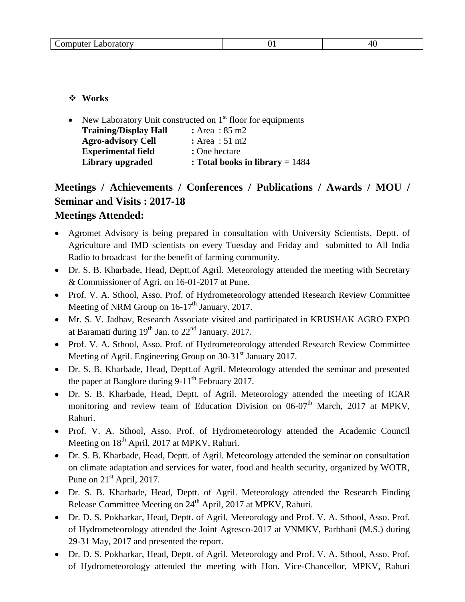| omputer/<br>oratory<br>$\sim$ 1-<br><b>Lavo</b><br>.<br>___<br>. | ັ້ | ∕ I<br>__ |
|------------------------------------------------------------------|----|-----------|
|------------------------------------------------------------------|----|-----------|

**Works** 

|                              | • New Laboratory Unit constructed on $1st$ floor for equipments |
|------------------------------|-----------------------------------------------------------------|
| <b>Training/Display Hall</b> | : Area : $85 \text{ m2}$                                        |
| <b>Agro-advisory Cell</b>    | : Area : $51 \text{ m2}$                                        |
| <b>Experimental field</b>    | : One hectare                                                   |
| Library upgraded             | : Total books in library $= 1484$                               |

# **Meetings / Achievements / Conferences / Publications / Awards / MOU / Seminar and Visits : 2017-18 Meetings Attended:**

- Agromet Advisory is being prepared in consultation with University Scientists, Deptt. of Agriculture and IMD scientists on every Tuesday and Friday and submitted to All India Radio to broadcast for the benefit of farming community.
- Dr. S. B. Kharbade, Head, Deptt.of Agril. Meteorology attended the meeting with Secretary & Commissioner of Agri. on 16-01-2017 at Pune.
- Prof. V. A. Sthool, Asso. Prof. of Hydrometeorology attended Research Review Committee Meeting of NRM Group on  $16-17<sup>th</sup>$  January. 2017.
- Mr. S. V. Jadhav, Research Associate visited and participated in KRUSHAK AGRO EXPO at Baramati during  $19<sup>th</sup>$  Jan. to  $22<sup>nd</sup>$  January. 2017.
- Prof. V. A. Sthool, Asso. Prof. of Hydrometeorology attended Research Review Committee Meeting of Agril. Engineering Group on 30-31<sup>st</sup> January 2017.
- Dr. S. B. Kharbade, Head, Deptt.of Agril. Meteorology attended the seminar and presented the paper at Banglore during  $9-11^{th}$  February 2017.
- Dr. S. B. Kharbade, Head, Deptt. of Agril. Meteorology attended the meeting of ICAR monitoring and review team of Education Division on  $06-07<sup>th</sup>$  March, 2017 at MPKV, Rahuri.
- Prof. V. A. Sthool, Asso. Prof. of Hydrometeorology attended the Academic Council Meeting on 18<sup>th</sup> April, 2017 at MPKV, Rahuri.
- Dr. S. B. Kharbade, Head, Deptt. of Agril. Meteorology attended the seminar on consultation on climate adaptation and services for water, food and health security, organized by WOTR, Pune on  $21<sup>st</sup>$  April, 2017.
- Dr. S. B. Kharbade, Head, Deptt. of Agril. Meteorology attended the Research Finding Release Committee Meeting on 24<sup>th</sup> April, 2017 at MPKV, Rahuri.
- Dr. D. S. Pokharkar, Head, Deptt. of Agril. Meteorology and Prof. V. A. Sthool, Asso. Prof. of Hydrometeorology attended the Joint Agresco-2017 at VNMKV, Parbhani (M.S.) during 29-31 May, 2017 and presented the report.
- Dr. D. S. Pokharkar, Head, Deptt. of Agril. Meteorology and Prof. V. A. Sthool, Asso. Prof. of Hydrometeorology attended the meeting with Hon. Vice-Chancellor, MPKV, Rahuri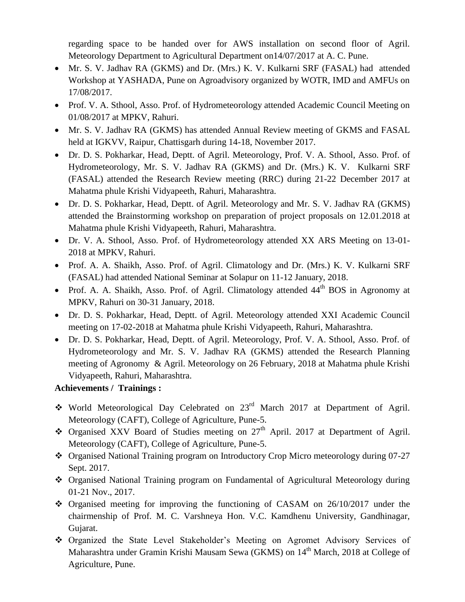regarding space to be handed over for AWS installation on second floor of Agril. Meteorology Department to Agricultural Department on14/07/2017 at A. C. Pune.

- Mr. S. V. Jadhav RA (GKMS) and Dr. (Mrs.) K. V. Kulkarni SRF (FASAL) had attended Workshop at YASHADA, Pune on Agroadvisory organized by WOTR, IMD and AMFUs on 17/08/2017.
- Prof. V. A. Sthool, Asso. Prof. of Hydrometeorology attended Academic Council Meeting on 01/08/2017 at MPKV, Rahuri.
- Mr. S. V. Jadhav RA (GKMS) has attended Annual Review meeting of GKMS and FASAL held at IGKVV, Raipur, Chattisgarh during 14-18, November 2017.
- Dr. D. S. Pokharkar, Head, Deptt. of Agril. Meteorology, Prof. V. A. Sthool, Asso. Prof. of Hydrometeorology, Mr. S. V. Jadhav RA (GKMS) and Dr. (Mrs.) K. V. Kulkarni SRF (FASAL) attended the Research Review meeting (RRC) during 21-22 December 2017 at Mahatma phule Krishi Vidyapeeth, Rahuri, Maharashtra.
- Dr. D. S. Pokharkar, Head, Deptt. of Agril. Meteorology and Mr. S. V. Jadhav RA (GKMS) attended the Brainstorming workshop on preparation of project proposals on 12.01.2018 at Mahatma phule Krishi Vidyapeeth, Rahuri, Maharashtra.
- Dr. V. A. Sthool, Asso. Prof. of Hydrometeorology attended XX ARS Meeting on 13-01- 2018 at MPKV, Rahuri.
- Prof. A. A. Shaikh, Asso. Prof. of Agril. Climatology and Dr. (Mrs.) K. V. Kulkarni SRF (FASAL) had attended National Seminar at Solapur on 11-12 January, 2018.
- Prof. A. A. Shaikh, Asso. Prof. of Agril. Climatology attended  $44<sup>th</sup>$  BOS in Agronomy at MPKV, Rahuri on 30-31 January, 2018.
- Dr. D. S. Pokharkar, Head, Deptt. of Agril. Meteorology attended XXI Academic Council meeting on 17-02-2018 at Mahatma phule Krishi Vidyapeeth, Rahuri, Maharashtra.
- Dr. D. S. Pokharkar, Head, Deptt. of Agril. Meteorology, Prof. V. A. Sthool, Asso. Prof. of Hydrometeorology and Mr. S. V. Jadhav RA (GKMS) attended the Research Planning meeting of Agronomy & Agril. Meteorology on 26 February, 2018 at Mahatma phule Krishi Vidyapeeth, Rahuri, Maharashtra.

## **Achievements / Trainings :**

- World Meteorological Day Celebrated on 23rd March 2017 at Department of Agril. Meteorology (CAFT), College of Agriculture, Pune-5.
- $\bullet$  Organised XXV Board of Studies meeting on 27<sup>th</sup> April. 2017 at Department of Agril. Meteorology (CAFT), College of Agriculture, Pune-5.
- Organised National Training program on Introductory Crop Micro meteorology during 07-27 Sept. 2017.
- Organised National Training program on Fundamental of Agricultural Meteorology during 01-21 Nov., 2017.
- Organised meeting for improving the functioning of CASAM on 26/10/2017 under the chairmenship of Prof. M. C. Varshneya Hon. V.C. Kamdhenu University, Gandhinagar, Gujarat.
- Organized the State Level Stakeholder's Meeting on Agromet Advisory Services of Maharashtra under Gramin Krishi Mausam Sewa (GKMS) on 14<sup>th</sup> March, 2018 at College of Agriculture, Pune.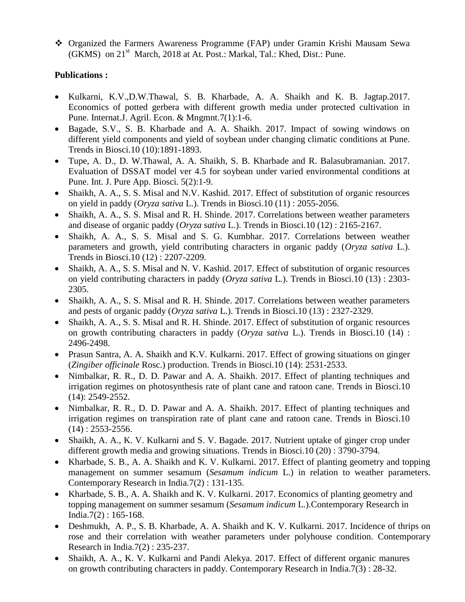Organized the Farmers Awareness Programme (FAP) under Gramin Krishi Mausam Sewa (GKMS) on 21<sup>st</sup> March, 2018 at At. Post.: Markal, Tal.: Khed, Dist.: Pune.

#### **Publications :**

- Kulkarni, K.V.,D.W.Thawal, S. B. Kharbade, A. A. Shaikh and K. B. Jagtap.2017. Economics of potted gerbera with different growth media under protected cultivation in Pune. Internat.J. Agril. Econ. & Mngmnt.7(1):1-6.
- Bagade, S.V., S. B. Kharbade and A. A. Shaikh. 2017. Impact of sowing windows on different yield components and yield of soybean under changing climatic conditions at Pune. Trends in Biosci.10 (10):1891-1893.
- Tupe, A. D., D. W.Thawal, A. A. Shaikh, S. B. Kharbade and R. Balasubramanian. 2017. Evaluation of DSSAT model ver 4.5 for soybean under varied environmental conditions at Pune. Int. J. Pure App. Biosci. 5(2):1-9.
- Shaikh, A. A., S. S. Misal and N.V. Kashid. 2017. Effect of substitution of organic resources on yield in paddy (*Oryza sativa* L.). Trends in Biosci.10 (11) : 2055-2056.
- Shaikh, A. A., S. S. Misal and R. H. Shinde. 2017. Correlations between weather parameters and disease of organic paddy (*Oryza sativa* L.). Trends in Biosci.10 (12) : 2165-2167.
- Shaikh, A. A., S. S. Misal and S. G. Kumbhar. 2017. Correlations between weather parameters and growth, yield contributing characters in organic paddy (*Oryza sativa* L.). Trends in Biosci.10 (12) : 2207-2209.
- Shaikh, A. A., S. S. Misal and N. V. Kashid. 2017. Effect of substitution of organic resources on yield contributing characters in paddy (*Oryza sativa* L.). Trends in Biosci.10 (13) : 2303- 2305.
- Shaikh, A. A., S. S. Misal and R. H. Shinde. 2017. Correlations between weather parameters and pests of organic paddy (*Oryza sativa* L.). Trends in Biosci.10 (13) : 2327-2329.
- Shaikh, A. A., S. S. Misal and R. H. Shinde. 2017. Effect of substitution of organic resources on growth contributing characters in paddy (*Oryza sativa* L.). Trends in Biosci.10 (14) : 2496-2498.
- Prasun Santra, A. A. Shaikh and K.V. Kulkarni. 2017. Effect of growing situations on ginger (*Zingiber officinale* Rosc.) production. Trends in Biosci.10 (14): 2531-2533.
- Nimbalkar, R. R., D. D. Pawar and A. A. Shaikh. 2017. Effect of planting techniques and irrigation regimes on photosynthesis rate of plant cane and ratoon cane. Trends in Biosci.10 (14): 2549-2552.
- Nimbalkar, R. R., D. D. Pawar and A. A. Shaikh. 2017. Effect of planting techniques and irrigation regimes on transpiration rate of plant cane and ratoon cane. Trends in Biosci.10  $(14) : 2553 - 2556.$
- Shaikh, A. A., K. V. Kulkarni and S. V. Bagade. 2017. Nutrient uptake of ginger crop under different growth media and growing situations. Trends in Biosci.10 (20) : 3790-3794.
- Kharbade, S. B., A. A. Shaikh and K. V. Kulkarni. 2017. Effect of planting geometry and topping management on summer sesamum (*Sesamum indicum* L.) in relation to weather parameters. Contemporary Research in India.7(2) : 131-135.
- Kharbade, S. B., A. A. Shaikh and K. V. Kulkarni. 2017. Economics of planting geometry and topping management on summer sesamum (*Sesamum indicum* L.).Contemporary Research in India.7(2) : 165-168.
- Deshmukh, A. P., S. B. Kharbade, A. A. Shaikh and K. V. Kulkarni. 2017. Incidence of thrips on rose and their correlation with weather parameters under polyhouse condition. Contemporary Research in India.7(2) : 235-237.
- Shaikh, A. A., K. V. Kulkarni and Pandi Alekya. 2017. Effect of different organic manures on growth contributing characters in paddy. Contemporary Research in India.7(3) : 28-32.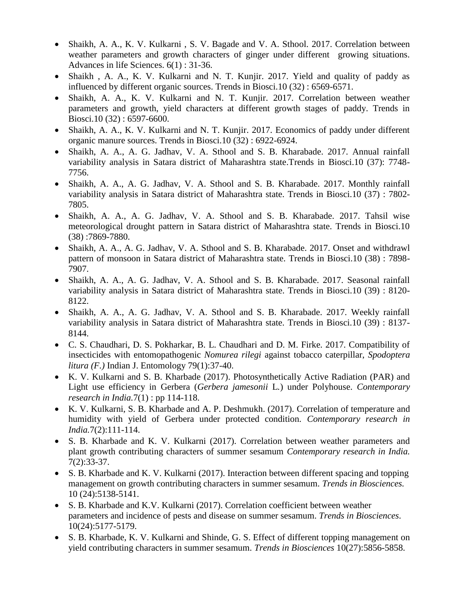- Shaikh, A. A., K. V. Kulkarni , S. V. Bagade and V. A. Sthool. 2017. Correlation between weather parameters and growth characters of ginger under different growing situations. Advances in life Sciences. 6(1) : 31-36.
- Shaikh , A. A., K. V. Kulkarni and N. T. Kunjir. 2017. Yield and quality of paddy as influenced by different organic sources. Trends in Biosci.10 (32) : 6569-6571.
- Shaikh, A. A., K. V. Kulkarni and N. T. Kunjir. 2017. Correlation between weather parameters and growth, yield characters at different growth stages of paddy. Trends in Biosci.10 (32) : 6597-6600.
- Shaikh, A. A., K. V. Kulkarni and N. T. Kunjir. 2017. Economics of paddy under different organic manure sources. Trends in Biosci.10 (32) : 6922-6924.
- Shaikh, A. A., A. G. Jadhav, V. A. Sthool and S. B. Kharabade. 2017. Annual rainfall variability analysis in Satara district of Maharashtra state.Trends in Biosci.10 (37): 7748- 7756.
- Shaikh, A. A., A. G. Jadhav, V. A. Sthool and S. B. Kharabade. 2017. Monthly rainfall variability analysis in Satara district of Maharashtra state. Trends in Biosci.10 (37) : 7802- 7805.
- Shaikh, A. A., A. G. Jadhav, V. A. Sthool and S. B. Kharabade. 2017. Tahsil wise meteorological drought pattern in Satara district of Maharashtra state. Trends in Biosci.10 (38) :7869-7880.
- Shaikh, A. A., A. G. Jadhav, V. A. Sthool and S. B. Kharabade. 2017. Onset and withdrawl pattern of monsoon in Satara district of Maharashtra state. Trends in Biosci.10 (38) : 7898- 7907.
- Shaikh, A. A., A. G. Jadhav, V. A. Sthool and S. B. Kharabade. 2017. Seasonal rainfall variability analysis in Satara district of Maharashtra state. Trends in Biosci.10 (39) : 8120- 8122.
- Shaikh, A. A., A. G. Jadhav, V. A. Sthool and S. B. Kharabade. 2017. Weekly rainfall variability analysis in Satara district of Maharashtra state. Trends in Biosci.10 (39) : 8137- 8144.
- C. S. Chaudhari, D. S. Pokharkar, B. L. Chaudhari and D. M. Firke. 2017. Compatibility of insecticides with entomopathogenic *Nomurea rilegi* against tobacco caterpillar, *Spodoptera litura (F.)* Indian J. Entomology 79(1):37-40.
- K. V. Kulkarni and S. B. Kharbade (2017). Photosynthetically Active Radiation (PAR) and Light use efficiency in Gerbera (*Gerbera jamesonii* L*.*) under Polyhouse. *Contemporary research in India.*7(1) : pp 114-118.
- K. V. Kulkarni, S. B. Kharbade and A. P. Deshmukh. (2017). Correlation of temperature and humidity with yield of Gerbera under protected condition. *Contemporary research in India.*7(2):111-114.
- S. B. Kharbade and K. V. Kulkarni (2017). Correlation between weather parameters and plant growth contributing characters of summer sesamum *Contemporary research in India.* 7(2):33-37.
- S. B. Kharbade and K. V. Kulkarni (2017). Interaction between different spacing and topping management on growth contributing characters in summer sesamum. *Trends in Biosciences.*  10 (24):5138-5141.
- S. B. Kharbade and K.V. Kulkarni (2017). Correlation coefficient between weather parameters and incidence of pests and disease on summer sesamum. *Trends in Biosciences*. 10(24):5177-5179.
- S. B. Kharbade, K. V. Kulkarni and Shinde, G. S. Effect of different topping management on yield contributing characters in summer sesamum. *Trends in Biosciences* 10(27):5856-5858.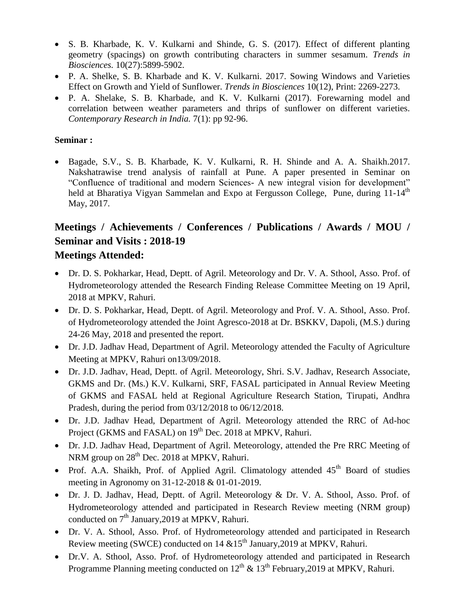- S. B. Kharbade, K. V. Kulkarni and Shinde, G. S. (2017). Effect of different planting geometry (spacings) on growth contributing characters in summer sesamum. *Trends in Biosciences.* 10(27):5899-5902.
- P. A. Shelke, S. B. Kharbade and K. V. Kulkarni. 2017. Sowing Windows and Varieties Effect on Growth and Yield of Sunflower. *Trends in Biosciences* 10(12), Print: 2269-2273.
- P. A. Shelake, S. B. Kharbade, and K. V. Kulkarni (2017). Forewarning model and correlation between weather parameters and thrips of sunflower on different varieties. *Contemporary Research in India.* 7(1): pp 92-96.

#### **Seminar :**

 Bagade, S.V., S. B. Kharbade, K. V. Kulkarni, R. H. Shinde and A. A. Shaikh.2017. Nakshatrawise trend analysis of rainfall at Pune. A paper presented in Seminar on "Confluence of traditional and modern Sciences- A new integral vision for development" held at Bharatiya Vigyan Sammelan and Expo at Fergusson College, Pune, during 11-14<sup>th</sup> May, 2017.

# **Meetings / Achievements / Conferences / Publications / Awards / MOU / Seminar and Visits : 2018-19**

# **Meetings Attended:**

- Dr. D. S. Pokharkar, Head, Deptt. of Agril. Meteorology and Dr. V. A. Sthool, Asso. Prof. of Hydrometeorology attended the Research Finding Release Committee Meeting on 19 April, 2018 at MPKV, Rahuri.
- Dr. D. S. Pokharkar, Head, Deptt. of Agril. Meteorology and Prof. V. A. Sthool, Asso. Prof. of Hydrometeorology attended the Joint Agresco-2018 at Dr. BSKKV, Dapoli, (M.S.) during 24-26 May, 2018 and presented the report.
- Dr. J.D. Jadhav Head, Department of Agril. Meteorology attended the Faculty of Agriculture Meeting at MPKV, Rahuri on13/09/2018.
- Dr. J.D. Jadhav, Head, Deptt. of Agril. Meteorology, Shri. S.V. Jadhav, Research Associate, GKMS and Dr. (Ms.) K.V. Kulkarni, SRF, FASAL participated in Annual Review Meeting of GKMS and FASAL held at Regional Agriculture Research Station, Tirupati, Andhra Pradesh, during the period from 03/12/2018 to 06/12/2018.
- Dr. J.D. Jadhav Head, Department of Agril. Meteorology attended the RRC of Ad-hoc Project (GKMS and FASAL) on 19<sup>th</sup> Dec. 2018 at MPKV, Rahuri.
- Dr. J.D. Jadhav Head, Department of Agril. Meteorology, attended the Pre RRC Meeting of NRM group on 28<sup>th</sup> Dec. 2018 at MPKV, Rahuri.
- Prof. A.A. Shaikh, Prof. of Applied Agril. Climatology attended  $45<sup>th</sup>$  Board of studies meeting in Agronomy on 31-12-2018 & 01-01-2019.
- Dr. J. D. Jadhav, Head, Deptt. of Agril. Meteorology & Dr. V. A. Sthool, Asso. Prof. of Hydrometeorology attended and participated in Research Review meeting (NRM group) conducted on 7<sup>th</sup> January, 2019 at MPKV, Rahuri.
- Dr. V. A. Sthool, Asso. Prof. of Hydrometeorology attended and participated in Research Review meeting (SWCE) conducted on 14  $&15<sup>th</sup>$  January, 2019 at MPKV, Rahuri.
- Dr.V. A. Sthool, Asso. Prof. of Hydrometeorology attended and participated in Research Programme Planning meeting conducted on  $12^{th}$  &  $13^{th}$  February, 2019 at MPKV, Rahuri.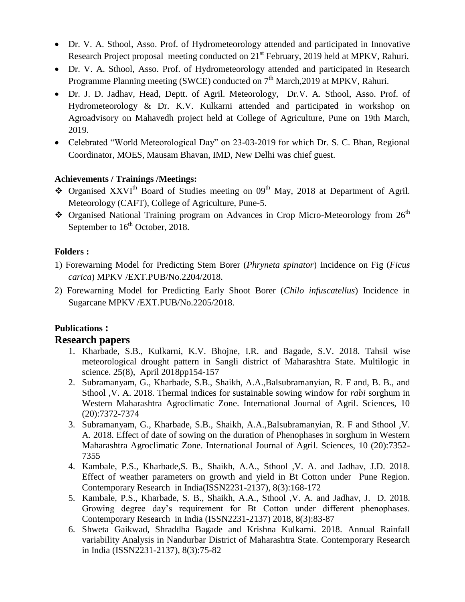- Dr. V. A. Sthool, Asso. Prof. of Hydrometeorology attended and participated in Innovative Research Project proposal meeting conducted on 21<sup>st</sup> February, 2019 held at MPKV, Rahuri.
- Dr. V. A. Sthool, Asso. Prof. of Hydrometeorology attended and participated in Research Programme Planning meeting (SWCE) conducted on  $7<sup>th</sup> March,2019$  at MPKV, Rahuri.
- Dr. J. D. Jadhav, Head, Deptt. of Agril. Meteorology, Dr.V. A. Sthool, Asso. Prof. of Hydrometeorology & Dr. K.V. Kulkarni attended and participated in workshop on Agroadvisory on Mahavedh project held at College of Agriculture, Pune on 19th March, 2019.
- Celebrated "World Meteorological Day" on 23-03-2019 for which Dr. S. C. Bhan, Regional Coordinator, MOES, Mausam Bhavan, IMD, New Delhi was chief guest.

#### **Achievements / Trainings /Meetings:**

- $\bullet$  Organised XXVI<sup>th</sup> Board of Studies meeting on 09<sup>th</sup> May, 2018 at Department of Agril. Meteorology (CAFT), College of Agriculture, Pune-5.
- \* Organised National Training program on Advances in Crop Micro-Meteorology from 26<sup>th</sup> September to 16<sup>th</sup> October, 2018.

#### **Folders :**

- 1) Forewarning Model for Predicting Stem Borer (*Phryneta spinator*) Incidence on Fig (*Ficus carica*) MPKV /EXT.PUB/No.2204/2018.
- 2) Forewarning Model for Predicting Early Shoot Borer (*Chilo infuscatellus*) Incidence in Sugarcane MPKV /EXT.PUB/No.2205/2018.

# **Publications :**

## **Research papers**

- 1. Kharbade, S.B., Kulkarni, K.V. Bhojne, I.R. and Bagade, S.V. 2018. Tahsil wise meteorological drought pattern in Sangli district of Maharashtra State. Multilogic in science. 25(8), April 2018pp154-157
- 2. Subramanyam, G., Kharbade, S.B., Shaikh, A.A.,Balsubramanyian, R. F and, B. B., and Sthool ,V. A. 2018. Thermal indices for sustainable sowing window for *rabi* sorghum in Western Maharashtra Agroclimatic Zone. International Journal of Agril. Sciences, 10 (20):7372-7374
- 3. Subramanyam, G., Kharbade, S.B., Shaikh, A.A.,Balsubramanyian, R. F and Sthool ,V. A. 2018. Effect of date of sowing on the duration of Phenophases in sorghum in Western Maharashtra Agroclimatic Zone. International Journal of Agril. Sciences, 10 (20):7352- 7355
- 4. Kambale, P.S., Kharbade,S. B., Shaikh, A.A., Sthool ,V. A. and Jadhav, J.D. 2018. Effect of weather parameters on growth and yield in Bt Cotton under Pune Region. Contemporary Research in India(ISSN2231-2137), 8(3):168-172
- 5. Kambale, P.S., Kharbade, S. B., Shaikh, A.A., Sthool ,V. A. and Jadhav, J. D. 2018. Growing degree day's requirement for Bt Cotton under different phenophases. Contemporary Research in India (ISSN2231-2137) 2018, 8(3):83-87
- 6. Shweta Gaikwad, Shraddha Bagade and Krishna Kulkarni. 2018. Annual Rainfall variability Analysis in Nandurbar District of Maharashtra State. Contemporary Research in India (ISSN2231-2137), 8(3):75-82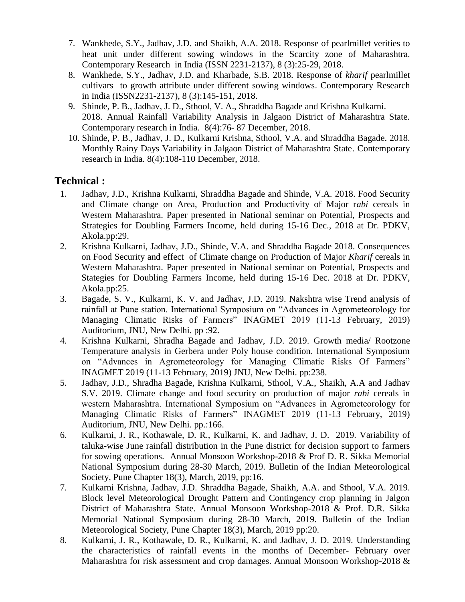- 7. Wankhede, S.Y., Jadhav, J.D. and Shaikh, A.A. 2018. Response of pearlmillet verities to heat unit under different sowing windows in the Scarcity zone of Maharashtra. Contemporary Research in India (ISSN 2231-2137), 8 (3):25-29, 2018.
- 8. Wankhede, S.Y., Jadhav, J.D. and Kharbade, S.B. 2018. Response of *kharif* pearlmillet cultivars to growth attribute under different sowing windows. Contemporary Research in India (ISSN2231-2137), 8 (3):145-151, 2018.
- 9. Shinde, P. B., Jadhav, J. D., Sthool, V. A., Shraddha Bagade and Krishna Kulkarni. 2018. Annual Rainfall Variability Analysis in Jalgaon District of Maharashtra State. Contemporary research in India. 8(4):76- 87 December, 2018.
- 10. Shinde, P. B., Jadhav, J. D., Kulkarni Krishna, Sthool, V.A. and Shraddha Bagade. 2018. Monthly Rainy Days Variability in Jalgaon District of Maharashtra State. Contemporary research in India. 8(4):108-110 December, 2018.

# **Technical :**

- 1. Jadhav, J.D., Krishna Kulkarni, Shraddha Bagade and Shinde, V.A. 2018. Food Security and Climate change on Area, Production and Productivity of Major r*abi* cereals in Western Maharashtra. Paper presented in National seminar on Potential, Prospects and Strategies for Doubling Farmers Income, held during 15-16 Dec., 2018 at Dr. PDKV, Akola.pp:29.
- 2. Krishna Kulkarni, Jadhav, J.D., Shinde, V.A. and Shraddha Bagade 2018. Consequences on Food Security and effect of Climate change on Production of Major *Kharif* cereals in Western Maharashtra. Paper presented in National seminar on Potential, Prospects and Stategies for Doubling Farmers Income, held during 15-16 Dec. 2018 at Dr. PDKV, Akola.pp:25.
- 3. Bagade, S. V., Kulkarni, K. V. and Jadhav, J.D. 2019. Nakshtra wise Trend analysis of rainfall at Pune station. International Symposium on "Advances in Agrometeorology for Managing Climatic Risks of Farmers" INAGMET 2019 (11-13 February, 2019) Auditorium, JNU, New Delhi. pp :92.
- 4. Krishna Kulkarni, Shradha Bagade and Jadhav, J.D. 2019. Growth media/ Rootzone Temperature analysis in Gerbera under Poly house condition. International Symposium on "Advances in Agrometeorology for Managing Climatic Risks Of Farmers" INAGMET 2019 (11-13 February, 2019) JNU, New Delhi. pp:238.
- 5. Jadhav, J.D., Shradha Bagade, Krishna Kulkarni, Sthool, V.A., Shaikh, A.A and Jadhav S.V. 2019. Climate change and food security on production of major *rabi* cereals in western Maharashtra. International Symposium on "Advances in Agrometeorology for Managing Climatic Risks of Farmers" INAGMET 2019 (11-13 February, 2019) Auditorium, JNU, New Delhi. pp.:166.
- 6. Kulkarni, J. R., Kothawale, D. R., Kulkarni, K. and Jadhav, J. D. 2019. Variability of taluka-wise June rainfall distribution in the Pune district for decision support to farmers for sowing operations. Annual Monsoon Workshop-2018 & Prof D. R. Sikka Memorial National Symposium during 28-30 March, 2019. Bulletin of the Indian Meteorological Society, Pune Chapter 18(3), March, 2019, pp:16.
- 7. Kulkarni Krishna, Jadhav, J.D. Shraddha Bagade, Shaikh, A.A. and Sthool, V.A. 2019. Block level Meteorological Drought Pattern and Contingency crop planning in Jalgon District of Maharashtra State. Annual Monsoon Workshop-2018 & Prof. D.R. Sikka Memorial National Symposium during 28-30 March, 2019. Bulletin of the Indian Meteorological Society, Pune Chapter 18(3), March, 2019 pp:20.
- 8. Kulkarni, J. R., Kothawale, D. R., Kulkarni, K. and Jadhav, J. D. 2019. Understanding the characteristics of rainfall events in the months of December- February over Maharashtra for risk assessment and crop damages. Annual Monsoon Workshop-2018 &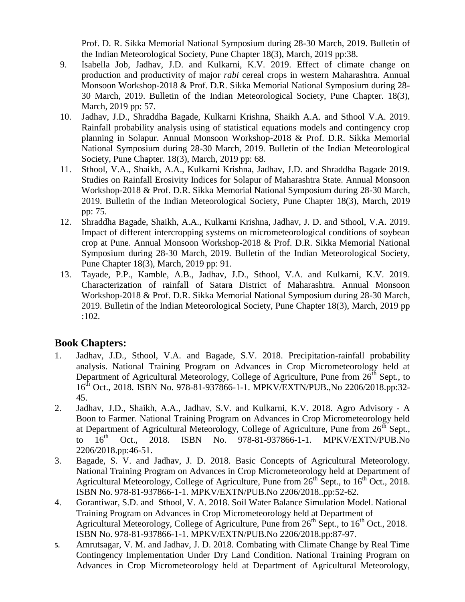Prof. D. R. Sikka Memorial National Symposium during 28-30 March, 2019. Bulletin of the Indian Meteorological Society, Pune Chapter 18(3), March, 2019 pp:38.

- 9. Isabella Job, Jadhav, J.D. and Kulkarni, K.V. 2019. Effect of climate change on production and productivity of major *rabi* cereal crops in western Maharashtra. Annual Monsoon Workshop-2018 & Prof. D.R. Sikka Memorial National Symposium during 28- 30 March, 2019. Bulletin of the Indian Meteorological Society, Pune Chapter. 18(3), March, 2019 pp: 57.
- 10. Jadhav, J.D., Shraddha Bagade, Kulkarni Krishna, Shaikh A.A. and Sthool V.A. 2019. Rainfall probability analysis using of statistical equations models and contingency crop planning in Solapur. Annual Monsoon Workshop-2018 & Prof. D.R. Sikka Memorial National Symposium during 28-30 March, 2019. Bulletin of the Indian Meteorological Society, Pune Chapter. 18(3), March, 2019 pp: 68.
- 11. Sthool, V.A., Shaikh, A.A., Kulkarni Krishna, Jadhav, J.D. and Shraddha Bagade 2019. Studies on Rainfall Erosivity Indices for Solapur of Maharashtra State. Annual Monsoon Workshop-2018 & Prof. D.R. Sikka Memorial National Symposium during 28-30 March, 2019. Bulletin of the Indian Meteorological Society, Pune Chapter 18(3), March, 2019 pp: 75.
- 12. Shraddha Bagade, Shaikh, A.A., Kulkarni Krishna, Jadhav, J. D. and Sthool, V.A. 2019. Impact of different intercropping systems on micrometeorological conditions of soybean crop at Pune. Annual Monsoon Workshop-2018 & Prof. D.R. Sikka Memorial National Symposium during 28-30 March, 2019. Bulletin of the Indian Meteorological Society, Pune Chapter 18(3), March, 2019 pp: 91.
- 13. Tayade, P.P., Kamble, A.B., Jadhav, J.D., Sthool, V.A. and Kulkarni, K.V. 2019. Characterization of rainfall of Satara District of Maharashtra. Annual Monsoon Workshop-2018 & Prof. D.R. Sikka Memorial National Symposium during 28-30 March, 2019. Bulletin of the Indian Meteorological Society, Pune Chapter 18(3), March, 2019 pp :102.

# **Book Chapters:**

- 1. Jadhav, J.D., Sthool, V.A. and Bagade, S.V. 2018. Precipitation-rainfall probability analysis. National Training Program on Advances in Crop Micrometeorology held at Department of Agricultural Meteorology, College of Agriculture, Pune from  $26<sup>th</sup>$  Sept., to 16th Oct., 2018. ISBN No. 978-81-937866-1-1. MPKV/EXTN/PUB.,No 2206/2018.pp:32- 45.
- 2. Jadhav, J.D., Shaikh, A.A., Jadhav, S.V. and Kulkarni, K.V. 2018. Agro Advisory A Boon to Farmer. National Training Program on Advances in Crop Micrometeorology held at Department of Agricultural Meteorology, College of Agriculture, Pune from  $26^{th}$  Sept., to  $16^{th}$  Oct., 2018. ISBN No. 978-81-937866-1-1. MPKV/EXTN/PUB.No to  $16^{th}$  Oct., 2018. ISBN No. 978-81-937866-1-1. MPKV/EXTN/PUB.No 2206/2018.pp:46-51.
- 3. Bagade, S. V. and Jadhav, J. D. 2018. Basic Concepts of Agricultural Meteorology. National Training Program on Advances in Crop Micrometeorology held at Department of Agricultural Meteorology, College of Agriculture, Pune from  $26<sup>th</sup>$  Sept., to  $16<sup>th</sup>$  Oct., 2018. ISBN No. 978-81-937866-1-1. MPKV/EXTN/PUB.No 2206/2018..pp:52-62.
- 4. Gorantiwar, S.D. and Sthool, V. A. 2018. Soil Water Balance Simulation Model. National Training Program on Advances in Crop Micrometeorology held at Department of Agricultural Meteorology, College of Agriculture, Pune from  $26<sup>th</sup>$  Sept., to  $16<sup>th</sup>$  Oct., 2018. ISBN No. 978-81-937866-1-1. MPKV/EXTN/PUB.No 2206/2018.pp:87-97.
- **5.** Amrutsagar, V. M. and Jadhav, J. D. 2018. Combating with Climate Change by Real Time Contingency Implementation Under Dry Land Condition. National Training Program on Advances in Crop Micrometeorology held at Department of Agricultural Meteorology,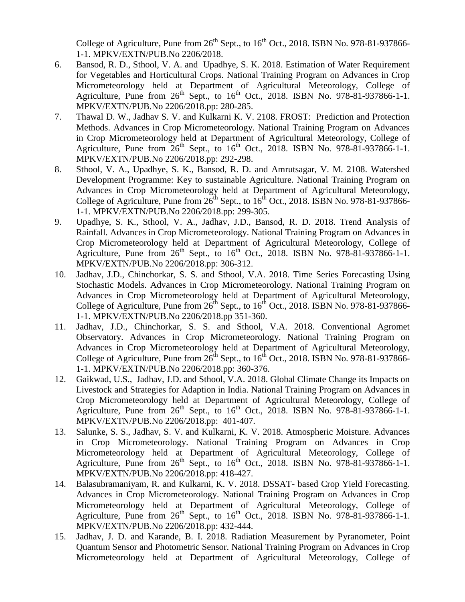College of Agriculture, Pune from  $26^{th}$  Sept., to  $16^{th}$  Oct., 2018. ISBN No. 978-81-937866-1-1. MPKV/EXTN/PUB.No 2206/2018.

- 6. Bansod, R. D., Sthool, V. A. and Upadhye, S. K. 2018. Estimation of Water Requirement for Vegetables and Horticultural Crops. National Training Program on Advances in Crop Micrometeorology held at Department of Agricultural Meteorology, College of Agriculture, Pune from  $26<sup>th</sup>$  Sept., to  $16<sup>th</sup>$  Oct., 2018. ISBN No. 978-81-937866-1-1. MPKV/EXTN/PUB.No 2206/2018.pp: 280-285.
- 7. Thawal D. W., Jadhav S. V. and Kulkarni K. V. 2108. FROST: Prediction and Protection Methods. Advances in Crop Micrometeorology. National Training Program on Advances in Crop Micrometeorology held at Department of Agricultural Meteorology, College of Agriculture, Pune from  $26<sup>th</sup>$  Sept., to  $16<sup>th</sup>$  Oct., 2018. ISBN No. 978-81-937866-1-1. MPKV/EXTN/PUB.No 2206/2018.pp: 292-298.
- 8. Sthool, V. A., Upadhye, S. K., Bansod, R. D. and Amrutsagar, V. M. 2108. Watershed Development Programme: Key to sustainable Agriculture. National Training Program on Advances in Crop Micrometeorology held at Department of Agricultural Meteorology, College of Agriculture, Pune from  $26^{th}$  Sept., to  $16^{th}$  Oct., 2018. ISBN No. 978-81-937866-1-1. MPKV/EXTN/PUB.No 2206/2018.pp: 299-305.
- 9. Upadhye, S. K., Sthool, V. A., Jadhav, J.D., Bansod, R. D. 2018. Trend Analysis of Rainfall. Advances in Crop Micrometeorology. National Training Program on Advances in Crop Micrometeorology held at Department of Agricultural Meteorology, College of Agriculture, Pune from  $26<sup>th</sup>$  Sept., to  $16<sup>th</sup>$  Oct.,  $2018$ . ISBN No. 978-81-937866-1-1. MPKV/EXTN/PUB.No 2206/2018.pp: 306-312.
- 10. Jadhav, J.D., Chinchorkar, S. S. and Sthool, V.A. 2018. Time Series Forecasting Using Stochastic Models. Advances in Crop Micrometeorology. National Training Program on Advances in Crop Micrometeorology held at Department of Agricultural Meteorology, College of Agriculture, Pune from  $26^{th}$  Sept., to  $16^{th}$  Oct., 2018. ISBN No. 978-81-937866-1-1. MPKV/EXTN/PUB.No 2206/2018.pp 351-360.
- 11. Jadhav, J.D., Chinchorkar, S. S. and Sthool, V.A. 2018. Conventional Agromet Observatory. Advances in Crop Micrometeorology. National Training Program on Advances in Crop Micrometeorology held at Department of Agricultural Meteorology, College of Agriculture, Pune from  $26^{th}$  Sept., to  $16^{th}$  Oct., 2018. ISBN No. 978-81-937866-1-1. MPKV/EXTN/PUB.No 2206/2018.pp: 360-376.
- 12. Gaikwad, U.S., Jadhav, J.D. and Sthool, V.A. 2018. Global Climate Change its Impacts on Livestock and Strategies for Adaption in India. National Training Program on Advances in Crop Micrometeorology held at Department of Agricultural Meteorology, College of Agriculture, Pune from  $26^{th}$  Sept., to  $16^{th}$  Oct., 2018. ISBN No. 978-81-937866-1-1. MPKV/EXTN/PUB.No 2206/2018.pp: 401-407.
- 13. Salunke, S. S., Jadhav, S. V. and Kulkarni, K. V. 2018. Atmospheric Moisture. Advances in Crop Micrometeorology. National Training Program on Advances in Crop Micrometeorology held at Department of Agricultural Meteorology, College of Agriculture, Pune from  $26<sup>th</sup>$  Sept., to  $16<sup>th</sup>$  Oct., 2018. ISBN No. 978-81-937866-1-1. MPKV/EXTN/PUB.No 2206/2018.pp: 418-427.
- 14. Balasubramaniyam, R. and Kulkarni, K. V. 2018. DSSAT- based Crop Yield Forecasting. Advances in Crop Micrometeorology. National Training Program on Advances in Crop Micrometeorology held at Department of Agricultural Meteorology, College of Agriculture, Pune from  $26<sup>th</sup>$  Sept., to  $16<sup>th</sup>$  Oct., 2018. ISBN No. 978-81-937866-1-1. MPKV/EXTN/PUB.No 2206/2018.pp: 432-444.
- 15. Jadhav, J. D. and Karande, B. I. 2018. Radiation Measurement by Pyranometer, Point Quantum Sensor and Photometric Sensor. National Training Program on Advances in Crop Micrometeorology held at Department of Agricultural Meteorology, College of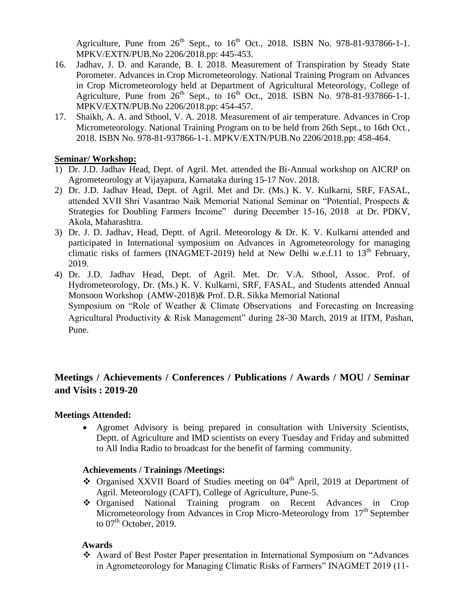Agriculture, Pune from  $26^{th}$  Sept., to  $16^{th}$  Oct., 2018. ISBN No. 978-81-937866-1-1. MPKV/EXTN/PUB.No 2206/2018.pp: 445-453.

- 16. Jadhav, J. D. and Karande, B. I. 2018. Measurement of Transpiration by Steady State Porometer. Advances in Crop Micrometeorology. National Training Program on Advances in Crop Micrometeorology held at Department of Agricultural Meteorology, College of Agriculture, Pune from  $26^{th}$  Sept., to  $16^{th}$  Oct., 2018. ISBN No. 978-81-937866-1-1. MPKV/EXTN/PUB.No 2206/2018.pp: 454-457.
- 17. Shaikh, A. A. and Sthool, V. A. 2018. Measurement of air temperature. Advances in Crop Micrometeorology. National Training Program on to be held from 26th Sept., to 16th Oct., 2018. ISBN No. 978-81-937866-1-1. MPKV/EXTN/PUB.No 2206/2018.pp: 458-464.

#### **Seminar/ Workshop:**

- 1) Dr. J.D. Jadhav Head, Dept. of Agril. Met. attended the Bi-Annual workshop on AICRP on Agrometeorology at Vijayapura, Karnataka during 15-17 Nov. 2018.
- 2) Dr. J.D. Jadhav Head, Dept. of Agril. Met and Dr. (Ms.) K. V. Kulkarni, SRF, FASAL, attended XVII Shri Vasantrao Naik Memorial National Seminar on "Potential, Prospects & Strategies for Doubling Farmers Income" during December 15-16, 2018 at Dr. PDKV, Akola, Maharashtra.
- 3) Dr. J. D. Jadhav, Head, Deptt. of Agril. Meteorology & Dr. K. V. Kulkarni attended and participated in International symposium on Advances in Agrometeorology for managing climatic risks of farmers (INAGMET-2019) held at New Delhi w.e.f.11 to  $13<sup>th</sup>$  February, 2019.
- 4) Dr. J.D. Jadhav Head, Dept. of Agril. Met. Dr. V.A. Sthool, Assoc. Prof. of Hydrometeorology, Dr. (Ms.) K. V. Kulkarni, SRF, FASAL, and Students attended Annual Monsoon Workshop (AMW-2018)& Prof. D.R. Sikka Memorial National Symposium on "Role of Weather & Climate Observations and Forecasting on Increasing Agricultural Productivity & Risk Management" during 28-30 March, 2019 at IITM, Pashan, Pune.

# **Meetings / Achievements / Conferences / Publications / Awards / MOU / Seminar and Visits : 2019-20**

#### **Meetings Attended:**

 Agromet Advisory is being prepared in consultation with University Scientists, Deptt. of Agriculture and IMD scientists on every Tuesday and Friday and submitted to All India Radio to broadcast for the benefit of farming community.

#### **Achievements / Trainings /Meetings:**

- $\bullet$  Organised XXVII Board of Studies meeting on 04<sup>th</sup> April, 2019 at Department of Agril. Meteorology (CAFT), College of Agriculture, Pune-5.
- Organised National Training program on Recent Advances in Crop Micrometeorology from Advances in Crop Micro-Meteorology from  $17<sup>th</sup>$  September to  $07<sup>th</sup>$  October, 2019.

#### **Awards**

 Award of Best Poster Paper presentation in International Symposium on "Advances in Agrometeorology for Managing Climatic Risks of Farmers" INAGMET 2019 (11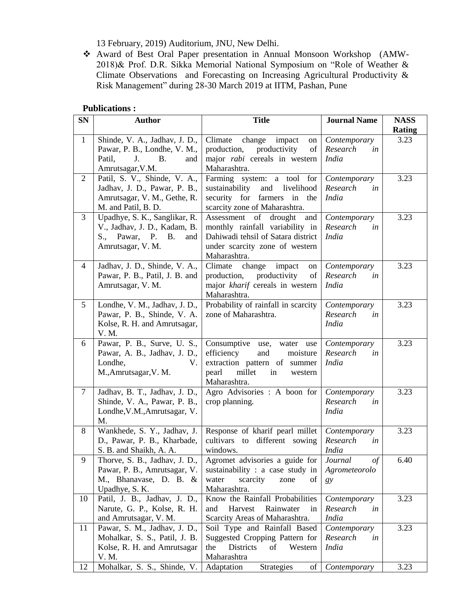13 February, 2019) Auditorium, JNU, New Delhi.

 Award of Best Oral Paper presentation in Annual Monsoon Workshop (AMW-2018)& Prof. D.R. Sikka Memorial National Symposium on "Role of Weather & Climate Observations and Forecasting on Increasing Agricultural Productivity & Risk Management" during 28-30 March 2019 at IITM, Pashan, Pune

#### **Publications :**

| <b>SN</b>      | <b>Author</b>                    | <b>Title</b>                                     | <b>Journal Name</b> | <b>NASS</b>   |
|----------------|----------------------------------|--------------------------------------------------|---------------------|---------------|
|                |                                  |                                                  |                     | <b>Rating</b> |
| $\mathbf{1}$   | Shinde, V. A., Jadhav, J. D.,    | Climate<br>change<br>impact<br>on                | Contemporary        | 3.23          |
|                | Pawar, P. B., Londhe, V. M.,     | production,<br>productivity<br>of                | Research<br>in      |               |
|                | J.<br><b>B.</b><br>Patil,<br>and | major <i>rabi</i> cereals in western             | <i>India</i>        |               |
|                | Amrutsagar, V.M.                 | Maharashtra.                                     |                     |               |
| $\overline{2}$ | Patil, S. V., Shinde, V. A.,     | Farming system: a tool for                       | Contemporary        | 3.23          |
|                | Jadhav, J. D., Pawar, P. B.,     | sustainability<br>and<br>livelihood              | Research<br>in      |               |
|                | Amrutsagar, V. M., Gethe, R.     | security for farmers in<br>the                   | <b>India</b>        |               |
|                | M. and Patil, B. D.              | scarcity zone of Maharashtra.                    |                     |               |
| $\overline{3}$ | Upadhye, S. K., Sanglikar, R.    | of<br>drought<br>Assessment<br>and               | Contemporary        | 3.23          |
|                | V., Jadhav, J. D., Kadam, B.     | monthly rainfall variability in                  | Research<br>in      |               |
|                | S., Pawar, P. B.<br>and          | Dahiwadi tehsil of Satara district               | <b>India</b>        |               |
|                | Amrutsagar, V. M.                | under scarcity zone of western                   |                     |               |
|                |                                  | Maharashtra.                                     |                     |               |
| 4              | Jadhav, J. D., Shinde, V. A.,    | Climate<br>change<br>impact<br>on                | Contemporary        | 3.23          |
|                | Pawar, P. B., Patil, J. B. and   | productivity<br>production,<br>of                | Research<br>in      |               |
|                | Amrutsagar, V. M.                | major kharif cereals in western                  | <b>India</b>        |               |
|                |                                  | Maharashtra.                                     |                     |               |
| 5              | Londhe, V. M., Jadhav, J. D.,    | Probability of rainfall in scarcity              | Contemporary        | 3.23          |
|                | Pawar, P. B., Shinde, V. A.      | zone of Maharashtra.                             | Research<br>in      |               |
|                | Kolse, R. H. and Amrutsagar,     |                                                  | <b>India</b>        |               |
|                | V. M.                            |                                                  |                     |               |
| 6              | Pawar, P. B., Surve, U. S.,      | Consumptive<br>use,<br>water use                 | Contemporary        | 3.23          |
|                | Pawar, A. B., Jadhav, J. D.,     | efficiency<br>and<br>moisture                    | Research<br>in      |               |
|                | Londhe,<br>V.                    | extraction pattern of summer                     | <i>India</i>        |               |
|                | M., Amrutsagar, V. M.            | millet<br>pearl<br>in<br>western<br>Maharashtra. |                     |               |
| $\overline{7}$ | Jadhav, B. T., Jadhav, J. D.,    | Agro Advisories : A boon for                     | Contemporary        | 3.23          |
|                | Shinde, V. A., Pawar, P. B.,     | crop planning.                                   | Research<br>in      |               |
|                | Londhe, V.M., Amrutsagar, V.     |                                                  | <b>India</b>        |               |
|                | M.                               |                                                  |                     |               |
| 8              | Wankhede, S. Y., Jadhav, J.      | Response of kharif pearl millet                  | Contemporary        | 3.23          |
|                | D., Pawar, P. B., Kharbade,      | cultivars to<br>different sowing                 | Research<br>in      |               |
|                | S. B. and Shaikh, A. A.          | windows.                                         | <b>India</b>        |               |
| 9              | Thorve, S. B., Jadhav, J. D.,    | Agromet advisories a guide for                   | Journal<br>$\phi$ f | 6.40          |
|                | Pawar, P. B., Amrutsagar, V.     | sustainability : a case study in                 | Agrometeorolo       |               |
|                | M., Bhanavase, D. B. &           | water<br>scarcity<br>zone<br>of                  | gy                  |               |
|                | Upadhye, S. K.                   | Maharashtra.                                     |                     |               |
| 10             | Patil, J. B., Jadhav, J. D.,     | Know the Rainfall Probabilities                  | Contemporary        | 3.23          |
|                | Narute, G. P., Kolse, R. H.      | Harvest<br>Rainwater<br>in<br>and                | Research<br>in      |               |
|                | and Amrutsagar, V. M.            | Scarcity Areas of Maharashtra.                   | <b>India</b>        |               |
| 11             | Pawar, S. M., Jadhav, J. D.,     | Soil Type and Rainfall Based                     | Contemporary        | 3.23          |
|                | Mohalkar, S. S., Patil, J. B.    | Suggested Cropping Pattern for                   | Research<br>in      |               |
|                | Kolse, R. H. and Amrutsagar      | <b>Districts</b><br>of<br>Western<br>the         | <b>India</b>        |               |
|                | V. M.                            | Maharashtra                                      |                     |               |
| 12             | Mohalkar, S. S., Shinde, V.      | Adaptation<br><b>Strategies</b><br>of            | Contemporary        | 3.23          |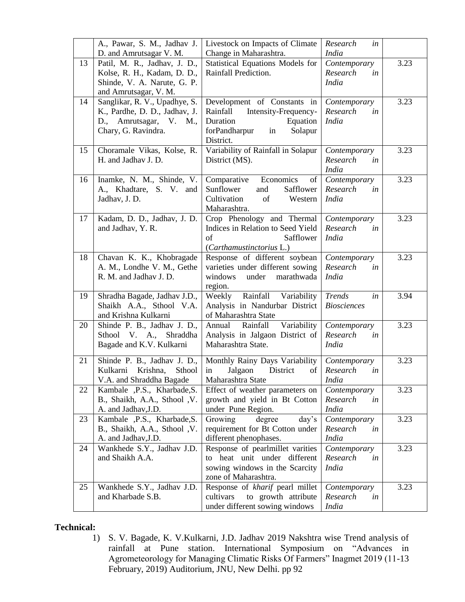|    | A., Pawar, S. M., Jadhav J.                          | Livestock on Impacts of Climate                                 | Research<br>in           |      |
|----|------------------------------------------------------|-----------------------------------------------------------------|--------------------------|------|
|    | D. and Amrutsagar V. M.                              | Change in Maharashtra.                                          | <i>India</i>             |      |
| 13 | Patil, M. R., Jadhav, J. D.,                         | Statistical Equations Models for                                | Contemporary             | 3.23 |
|    | Kolse, R. H., Kadam, D. D.,                          | Rainfall Prediction.                                            | Research<br>in           |      |
|    | Shinde, V. A. Narute, G. P.                          |                                                                 | <b>India</b>             |      |
|    | and Amrutsagar, V. M.                                |                                                                 |                          |      |
| 14 | Sanglikar, R. V., Upadhye, S.                        | Development of Constants in                                     | Contemporary             | 3.23 |
|    | K., Pardhe, D. D., Jadhav, J.                        | Intensity-Frequency-<br>Rainfall                                | Research<br>in           |      |
|    | D., Amrutsagar, V. M.,                               | Duration<br>Equation                                            | <b>India</b>             |      |
|    | Chary, G. Ravindra.                                  | forPandharpur<br>in<br>Solapur                                  |                          |      |
|    |                                                      | District.                                                       |                          |      |
| 15 | Choramale Vikas, Kolse, R.                           | Variability of Rainfall in Solapur                              | Contemporary             | 3.23 |
|    | H. and Jadhav J. D.                                  | District (MS).                                                  | Research<br>in           |      |
|    |                                                      |                                                                 | <b>India</b>             |      |
| 16 | Inamke, N. M., Shinde, V.<br>A., Khadtare, S. V. and | Comparative<br>Economics<br>of<br>Sunflower<br>Safflower<br>and | Contemporary<br>Research | 3.23 |
|    | Jadhav, J. D.                                        | Cultivation<br>of<br>Western                                    | in<br><i>India</i>       |      |
|    |                                                      | Maharashtra.                                                    |                          |      |
| 17 | Kadam, D. D., Jadhav, J. D.                          | Crop Phenology and Thermal                                      | Contemporary             | 3.23 |
|    | and Jadhav, Y. R.                                    | Indices in Relation to Seed Yield                               | Research<br>in           |      |
|    |                                                      | of<br>Safflower                                                 | <b>India</b>             |      |
|    |                                                      | (Carthamustinctorius L.)                                        |                          |      |
| 18 | Chavan K. K., Khobragade                             | Response of different soybean                                   | Contemporary             | 3.23 |
|    | A. M., Londhe V. M., Gethe                           | varieties under different sowing                                | Research<br>in           |      |
|    | R. M. and Jadhav J. D.                               | marathwada<br>windows<br>under                                  | <b>India</b>             |      |
|    |                                                      | region.                                                         |                          |      |
| 19 | Shradha Bagade, Jadhav J.D.,                         | Rainfall<br>Weekly<br>Variability                               | Trends<br>in             | 3.94 |
|    | Shaikh A.A., Sthool V.A.                             | Analysis in Nandurbar District                                  | <b>Biosciences</b>       |      |
|    | and Krishna Kulkarni                                 | of Maharashtra State                                            |                          |      |
| 20 | Shinde P. B., Jadhav J. D.,                          | Rainfall<br>Variability<br>Annual                               | Contemporary             | 3.23 |
|    | Sthool V. A., Shraddha                               | Analysis in Jalgaon District of                                 | Research<br>in           |      |
|    | Bagade and K.V. Kulkarni                             | Maharashtra State.                                              | <b>India</b>             |      |
| 21 | Shinde P. B., Jadhav J. D.,                          | Monthly Rainy Days Variability                                  | Contemporary             | 3.23 |
|    | Kulkarni Krishna,<br>Sthool                          | in<br>Jalgaon<br>District<br>of                                 | Research<br>in           |      |
|    | V.A. and Shraddha Bagade                             | Maharashtra State                                               | India                    |      |
| 22 | Kambale , P.S., Kharbade, S.                         | Effect of weather parameters on                                 | Contemporary             | 3.23 |
|    | B., Shaikh, A.A., Sthool , V.                        | growth and yield in Bt Cotton                                   | Research<br>in           |      |
|    | A. and Jadhav, J.D.                                  | under Pune Region.                                              | <b>India</b>             |      |
| 23 | Kambale , P.S., Kharbade, S.                         | Growing<br>degree<br>day's                                      | Contemporary             | 3.23 |
|    | B., Shaikh, A.A., Sthool , V.                        | requirement for Bt Cotton under                                 | Research<br>in           |      |
|    | A. and Jadhav, J.D.                                  | different phenophases.                                          | <b>India</b>             |      |
| 24 | Wankhede S.Y., Jadhav J.D.                           | Response of pearlmillet varities                                | Contemporary             | 3.23 |
|    | and Shaikh A.A.                                      | to heat unit under different                                    | Research<br>in           |      |
|    |                                                      | sowing windows in the Scarcity                                  | <b>India</b>             |      |
|    |                                                      | zone of Maharashtra.                                            |                          |      |
| 25 | Wankhede S.Y., Jadhav J.D.                           | Response of kharif pearl millet                                 | Contemporary             | 3.23 |
|    | and Kharbade S.B.                                    | cultivars<br>to growth attribute                                | Research<br>in           |      |
|    |                                                      | under different sowing windows                                  | <b>India</b>             |      |

#### **Technical:**

1) S. V. Bagade, K. V.Kulkarni, J.D. Jadhav 2019 Nakshtra wise Trend analysis of rainfall at Pune station. International Symposium on "Advances in Agrometeorology for Managing Climatic Risks Of Farmers" Inagmet 2019 (11-13 February, 2019) Auditorium, JNU, New Delhi. pp 92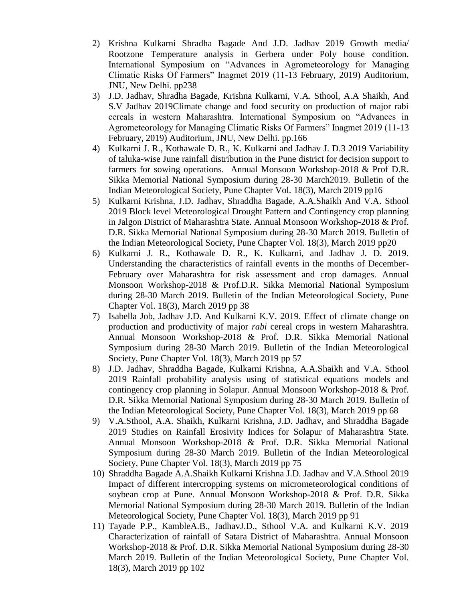- 2) Krishna Kulkarni Shradha Bagade And J.D. Jadhav 2019 Growth media/ Rootzone Temperature analysis in Gerbera under Poly house condition. International Symposium on "Advances in Agrometeorology for Managing Climatic Risks Of Farmers" Inagmet 2019 (11-13 February, 2019) Auditorium, JNU, New Delhi. pp238
- 3) J.D. Jadhav, Shradha Bagade, Krishna Kulkarni, V.A. Sthool, A.A Shaikh, And S.V Jadhav 2019Climate change and food security on production of major rabi cereals in western Maharashtra. International Symposium on "Advances in Agrometeorology for Managing Climatic Risks Of Farmers" Inagmet 2019 (11-13 February, 2019) Auditorium, JNU, New Delhi. pp.166
- 4) Kulkarni J. R., Kothawale D. R., K. Kulkarni and Jadhav J. D.3 2019 Variability of taluka-wise June rainfall distribution in the Pune district for decision support to farmers for sowing operations. Annual Monsoon Workshop-2018 & Prof D.R. Sikka Memorial National Symposium during 28-30 March2019. Bulletin of the Indian Meteorological Society, Pune Chapter Vol. 18(3), March 2019 pp16
- 5) Kulkarni Krishna, J.D. Jadhav, Shraddha Bagade, A.A.Shaikh And V.A. Sthool 2019 Block level Meteorological Drought Pattern and Contingency crop planning in Jalgon District of Maharashtra State. Annual Monsoon Workshop-2018 & Prof. D.R. Sikka Memorial National Symposium during 28-30 March 2019. Bulletin of the Indian Meteorological Society, Pune Chapter Vol. 18(3), March 2019 pp20
- 6) Kulkarni J. R., Kothawale D. R., K. Kulkarni, and Jadhav J. D. 2019. Understanding the characteristics of rainfall events in the months of December-February over Maharashtra for risk assessment and crop damages. Annual Monsoon Workshop-2018 & Prof.D.R. Sikka Memorial National Symposium during 28-30 March 2019. Bulletin of the Indian Meteorological Society, Pune Chapter Vol. 18(3), March 2019 pp 38
- 7) Isabella Job, Jadhav J.D. And Kulkarni K.V. 2019. Effect of climate change on production and productivity of major *rabi* cereal crops in western Maharashtra. Annual Monsoon Workshop-2018 & Prof. D.R. Sikka Memorial National Symposium during 28-30 March 2019. Bulletin of the Indian Meteorological Society, Pune Chapter Vol. 18(3), March 2019 pp 57
- 8) J.D. Jadhav, Shraddha Bagade, Kulkarni Krishna, A.A.Shaikh and V.A. Sthool 2019 Rainfall probability analysis using of statistical equations models and contingency crop planning in Solapur. Annual Monsoon Workshop-2018 & Prof. D.R. Sikka Memorial National Symposium during 28-30 March 2019. Bulletin of the Indian Meteorological Society, Pune Chapter Vol. 18(3), March 2019 pp 68
- 9) V.A.Sthool, A.A. Shaikh, Kulkarni Krishna, J.D. Jadhav, and Shraddha Bagade 2019 Studies on Rainfall Erosivity Indices for Solapur of Maharashtra State. Annual Monsoon Workshop-2018 & Prof. D.R. Sikka Memorial National Symposium during 28-30 March 2019. Bulletin of the Indian Meteorological Society, Pune Chapter Vol. 18(3), March 2019 pp 75
- 10) Shraddha Bagade A.A.Shaikh Kulkarni Krishna J.D. Jadhav and V.A.Sthool 2019 Impact of different intercropping systems on micrometeorological conditions of soybean crop at Pune. Annual Monsoon Workshop-2018 & Prof. D.R. Sikka Memorial National Symposium during 28-30 March 2019. Bulletin of the Indian Meteorological Society, Pune Chapter Vol. 18(3), March 2019 pp 91
- 11) Tayade P.P., KambleA.B., JadhavJ.D., Sthool V.A. and Kulkarni K.V. 2019 Characterization of rainfall of Satara District of Maharashtra. Annual Monsoon Workshop-2018 & Prof. D.R. Sikka Memorial National Symposium during 28-30 March 2019. Bulletin of the Indian Meteorological Society, Pune Chapter Vol. 18(3), March 2019 pp 102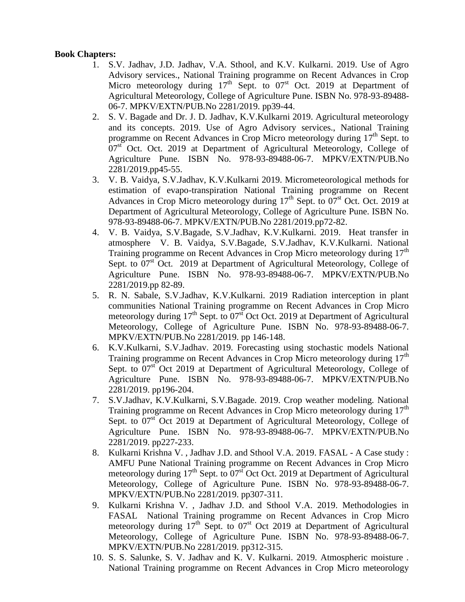#### **Book Chapters:**

- 1. S.V. Jadhav, J.D. Jadhav, V.A. Sthool, and K.V. Kulkarni. 2019. Use of Agro Advisory services., National Training programme on Recent Advances in Crop Micro meteorology during  $17<sup>th</sup>$  Sept. to  $07<sup>st</sup>$  Oct. 2019 at Department of Agricultural Meteorology, College of Agriculture Pune. ISBN No. 978-93-89488- 06-7. MPKV/EXTN/PUB.No 2281/2019. pp39-44.
- 2. S. V. Bagade and Dr. J. D. Jadhav, K.V.Kulkarni 2019. Agricultural meteorology and its concepts. 2019. Use of Agro Advisory services., National Training programme on Recent Advances in Crop Micro meteorology during 17<sup>th</sup> Sept. to  $07<sup>st</sup>$  Oct. Oct. 2019 at Department of Agricultural Meteorology, College of Agriculture Pune. ISBN No. 978-93-89488-06-7. MPKV/EXTN/PUB.No 2281/2019.pp45-55.
- 3. V. B. Vaidya, S.V.Jadhav, K.V.Kulkarni 2019. Micrometeorological methods for estimation of evapo-transpiration National Training programme on Recent Advances in Crop Micro meteorology during  $17<sup>th</sup>$  Sept. to  $07<sup>st</sup>$  Oct. Oct. 2019 at Department of Agricultural Meteorology, College of Agriculture Pune. ISBN No. 978-93-89488-06-7. MPKV/EXTN/PUB.No 2281/2019.pp72-82.
- 4. V. B. Vaidya, S.V.Bagade, S.V.Jadhav, K.V.Kulkarni. 2019. Heat transfer in atmosphere V. B. Vaidya, S.V.Bagade, S.V.Jadhav, K.V.Kulkarni. National Training programme on Recent Advances in Crop Micro meteorology during 17<sup>th</sup> Sept. to  $07<sup>st</sup>$  Oct. 2019 at Department of Agricultural Meteorology, College of Agriculture Pune. ISBN No. 978-93-89488-06-7. MPKV/EXTN/PUB.No 2281/2019.pp 82-89.
- 5. R. N. Sabale, S.V.Jadhav, K.V.Kulkarni. 2019 Radiation interception in plant communities National Training programme on Recent Advances in Crop Micro meteorology during  $17<sup>th</sup>$  Sept. to  $07<sup>st</sup>$  Oct Oct. 2019 at Department of Agricultural Meteorology, College of Agriculture Pune. ISBN No. 978-93-89488-06-7. MPKV/EXTN/PUB.No 2281/2019. pp 146-148.
- 6. K.V.Kulkarni, S.V.Jadhav. 2019. Forecasting using stochastic models National Training programme on Recent Advances in Crop Micro meteorology during 17<sup>th</sup> Sept. to 07<sup>st</sup> Oct 2019 at Department of Agricultural Meteorology, College of Agriculture Pune. ISBN No. 978-93-89488-06-7. MPKV/EXTN/PUB.No 2281/2019. pp196-204.
- 7. S.V.Jadhav, K.V.Kulkarni, S.V.Bagade. 2019. Crop weather modeling. National Training programme on Recent Advances in Crop Micro meteorology during 17<sup>th</sup> Sept. to  $07<sup>st</sup>$  Oct 2019 at Department of Agricultural Meteorology, College of Agriculture Pune. ISBN No. 978-93-89488-06-7. MPKV/EXTN/PUB.No 2281/2019. pp227-233.
- 8. Kulkarni Krishna V. , Jadhav J.D. and Sthool V.A. 2019. FASAL A Case study : AMFU Pune National Training programme on Recent Advances in Crop Micro meteorology during  $17<sup>th</sup>$  Sept. to  $07<sup>st</sup>$  Oct Oct. 2019 at Department of Agricultural Meteorology, College of Agriculture Pune. ISBN No. 978-93-89488-06-7. MPKV/EXTN/PUB.No 2281/2019. pp307-311.
- 9. Kulkarni Krishna V. , Jadhav J.D. and Sthool V.A. 2019. Methodologies in FASAL National Training programme on Recent Advances in Crop Micro meteorology during  $17<sup>th</sup>$  Sept. to  $07<sup>st</sup>$  Oct 2019 at Department of Agricultural Meteorology, College of Agriculture Pune. ISBN No. 978-93-89488-06-7. MPKV/EXTN/PUB.No 2281/2019. pp312-315.
- 10. S. S. Salunke, S. V. Jadhav and K. V. Kulkarni. 2019. Atmospheric moisture . National Training programme on Recent Advances in Crop Micro meteorology